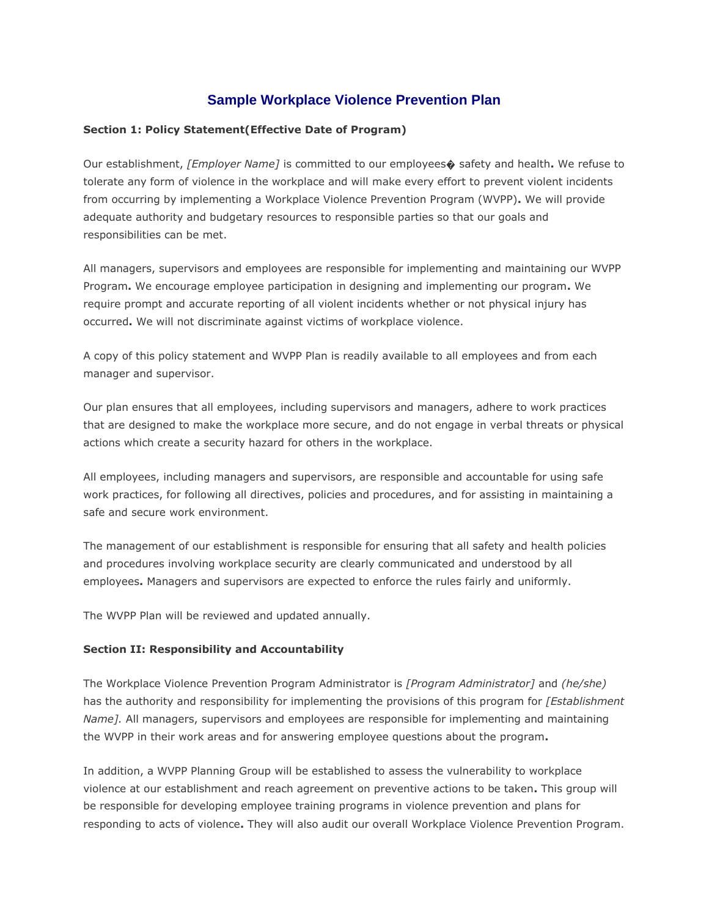# **Sample Workplace Violence Prevention Plan**

### **Section 1: Policy Statement(Effective Date of Program)**

Our establishment, *[Employer Name]* is committed to our employees� safety and health**.** We refuse to tolerate any form of violence in the workplace and will make every effort to prevent violent incidents from occurring by implementing a Workplace Violence Prevention Program (WVPP)**.** We will provide adequate authority and budgetary resources to responsible parties so that our goals and responsibilities can be met.

All managers, supervisors and employees are responsible for implementing and maintaining our WVPP Program**.** We encourage employee participation in designing and implementing our program**.** We require prompt and accurate reporting of all violent incidents whether or not physical injury has occurred**.** We will not discriminate against victims of workplace violence.

A copy of this policy statement and WVPP Plan is readily available to all employees and from each manager and supervisor.

Our plan ensures that all employees, including supervisors and managers, adhere to work practices that are designed to make the workplace more secure, and do not engage in verbal threats or physical actions which create a security hazard for others in the workplace.

All employees, including managers and supervisors, are responsible and accountable for using safe work practices, for following all directives, policies and procedures, and for assisting in maintaining a safe and secure work environment.

The management of our establishment is responsible for ensuring that all safety and health policies and procedures involving workplace security are clearly communicated and understood by all employees**.** Managers and supervisors are expected to enforce the rules fairly and uniformly.

The WVPP Plan will be reviewed and updated annually.

#### **Section II: Responsibility and Accountability**

The Workplace Violence Prevention Program Administrator is *[Program Administrator]* and *(he/she)*  has the authority and responsibility for implementing the provisions of this program for *[Establishment Name].* All managers, supervisors and employees are responsible for implementing and maintaining the WVPP in their work areas and for answering employee questions about the program**.**

In addition, a WVPP Planning Group will be established to assess the vulnerability to workplace violence at our establishment and reach agreement on preventive actions to be taken**.** This group will be responsible for developing employee training programs in violence prevention and plans for responding to acts of violence**.** They will also audit our overall Workplace Violence Prevention Program.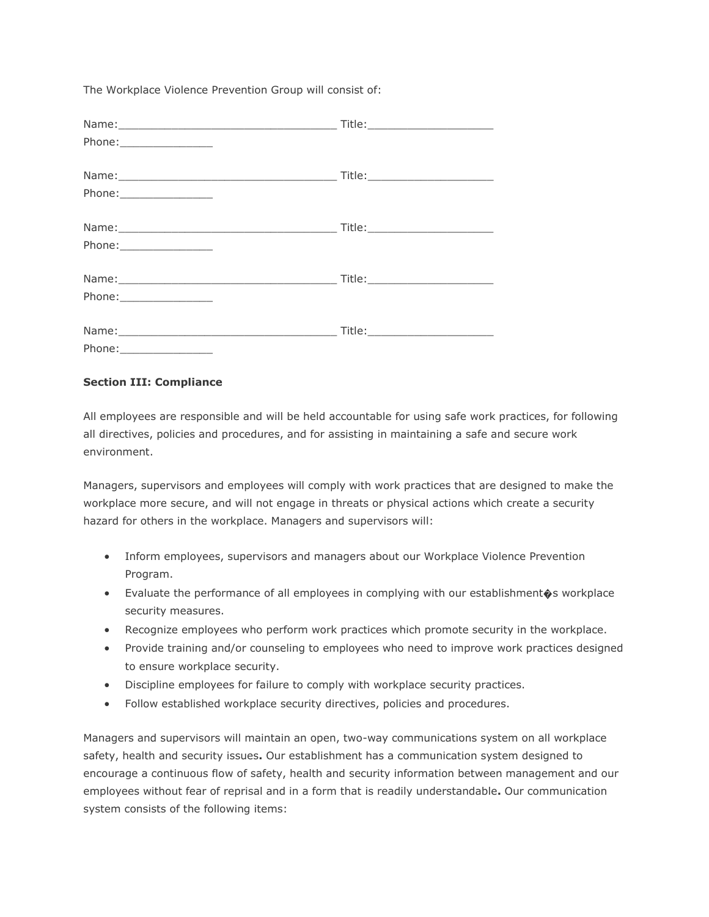The Workplace Violence Prevention Group will consist of:

|                           | Title:__________________________ |
|---------------------------|----------------------------------|
|                           |                                  |
|                           |                                  |
|                           |                                  |
|                           |                                  |
|                           |                                  |
|                           |                                  |
|                           |                                  |
|                           |                                  |
| Phone: __________________ |                                  |
|                           |                                  |
|                           |                                  |

### **Section III: Compliance**

All employees are responsible and will be held accountable for using safe work practices, for following all directives, policies and procedures, and for assisting in maintaining a safe and secure work environment.

Managers, supervisors and employees will comply with work practices that are designed to make the workplace more secure, and will not engage in threats or physical actions which create a security hazard for others in the workplace. Managers and supervisors will:

- Inform employees, supervisors and managers about our Workplace Violence Prevention Program.
- Evaluate the performance of all employees in complying with our establishment $\hat{\mathbf{\bullet}}$ s workplace security measures.
- Recognize employees who perform work practices which promote security in the workplace.
- Provide training and/or counseling to employees who need to improve work practices designed to ensure workplace security.
- Discipline employees for failure to comply with workplace security practices.
- Follow established workplace security directives, policies and procedures.

Managers and supervisors will maintain an open, two-way communications system on all workplace safety, health and security issues**.** Our establishment has a communication system designed to encourage a continuous flow of safety, health and security information between management and our employees without fear of reprisal and in a form that is readily understandable**.** Our communication system consists of the following items: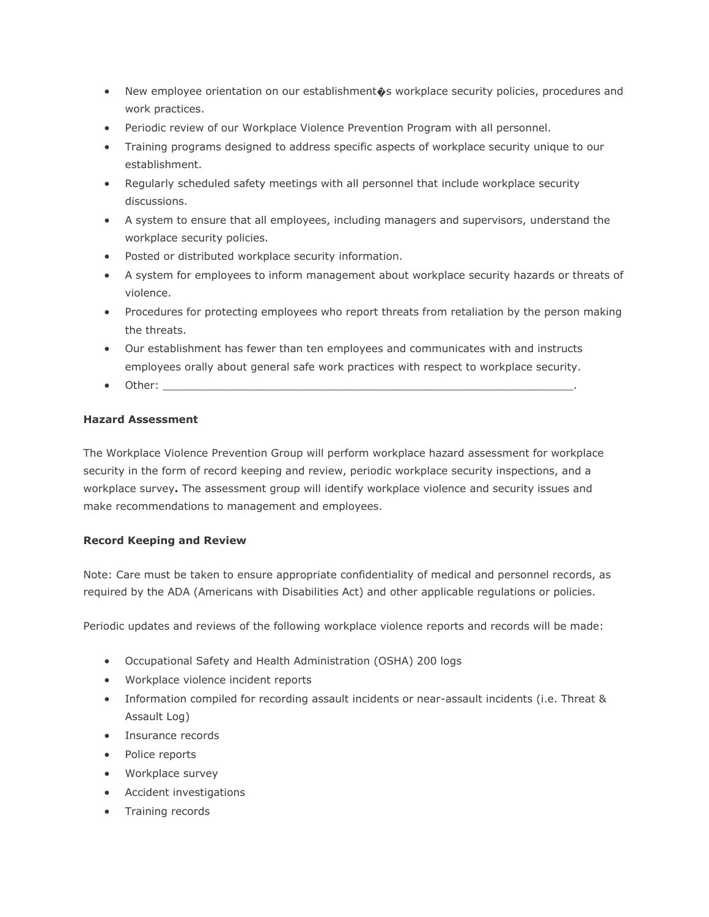- New employee orientation on our establishment $\hat{\bullet}$ s workplace security policies, procedures and work practices.
- Periodic review of our Workplace Violence Prevention Program with all personnel.
- Training programs designed to address specific aspects of workplace security unique to our establishment.
- Regularly scheduled safety meetings with all personnel that include workplace security discussions.
- A system to ensure that all employees, including managers and supervisors, understand the workplace security policies.
- Posted or distributed workplace security information.
- A system for employees to inform management about workplace security hazards or threats of violence.
- Procedures for protecting employees who report threats from retaliation by the person making the threats.
- Our establishment has fewer than ten employees and communicates with and instructs employees orally about general safe work practices with respect to workplace security.
- $\bullet$  Other:

# **Hazard Assessment**

The Workplace Violence Prevention Group will perform workplace hazard assessment for workplace security in the form of record keeping and review, periodic workplace security inspections, and a workplace survey**.** The assessment group will identify workplace violence and security issues and make recommendations to management and employees.

# **Record Keeping and Review**

Note: Care must be taken to ensure appropriate confidentiality of medical and personnel records, as required by the ADA (Americans with Disabilities Act) and other applicable regulations or policies.

Periodic updates and reviews of the following workplace violence reports and records will be made:

- Occupational Safety and Health Administration (OSHA) 200 logs
- Workplace violence incident reports
- Information compiled for recording assault incidents or near-assault incidents (i.e. Threat & Assault Log)
- **•** Insurance records
- Police reports
- Workplace survey
- Accident investigations
- Training records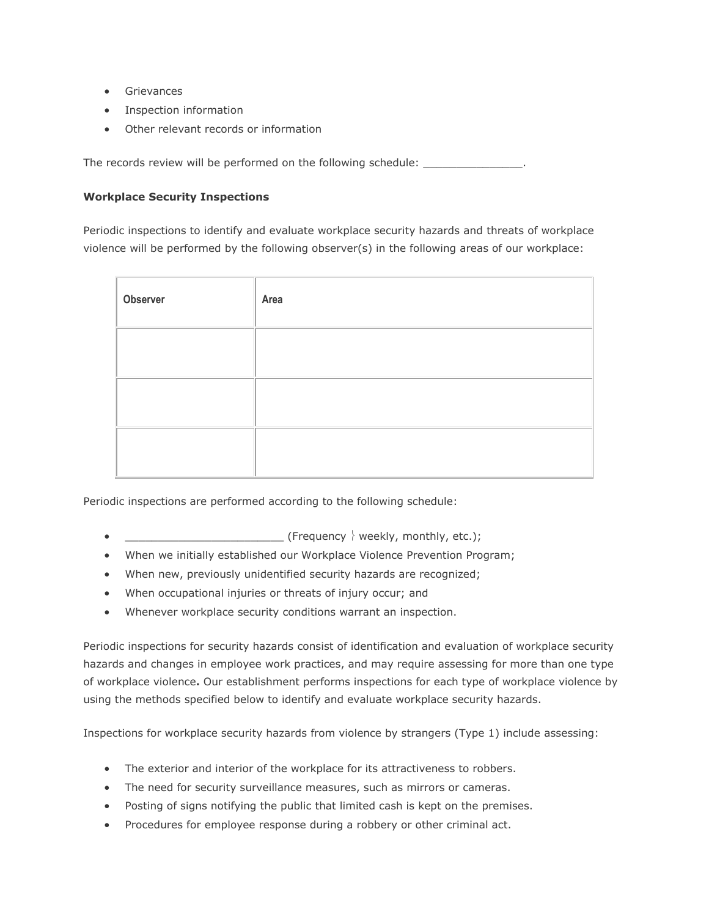- **•** Grievances
- Inspection information
- Other relevant records or information

The records review will be performed on the following schedule: \_\_\_\_\_\_\_\_\_\_\_\_\_\_\_\_

# **Workplace Security Inspections**

Periodic inspections to identify and evaluate workplace security hazards and threats of workplace violence will be performed by the following observer(s) in the following areas of our workplace:

| Observer | Area |
|----------|------|
|          |      |
|          |      |
|          |      |

Periodic inspections are performed according to the following schedule:

- $\bullet$  (Frequency  $\overline{\ }$  weekly, monthly, etc.);
- When we initially established our Workplace Violence Prevention Program;
- When new, previously unidentified security hazards are recognized;
- When occupational injuries or threats of injury occur; and
- Whenever workplace security conditions warrant an inspection.

Periodic inspections for security hazards consist of identification and evaluation of workplace security hazards and changes in employee work practices, and may require assessing for more than one type of workplace violence**.** Our establishment performs inspections for each type of workplace violence by using the methods specified below to identify and evaluate workplace security hazards.

Inspections for workplace security hazards from violence by strangers (Type 1) include assessing:

- The exterior and interior of the workplace for its attractiveness to robbers.
- The need for security surveillance measures, such as mirrors or cameras.
- Posting of signs notifying the public that limited cash is kept on the premises.
- Procedures for employee response during a robbery or other criminal act.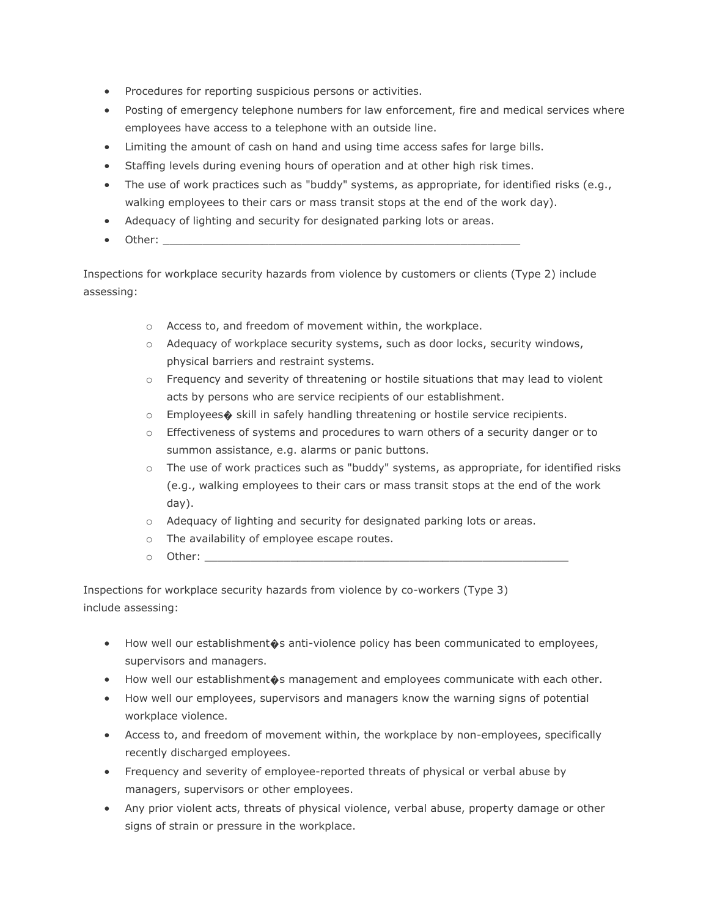- Procedures for reporting suspicious persons or activities.
- Posting of emergency telephone numbers for law enforcement, fire and medical services where employees have access to a telephone with an outside line.
- Limiting the amount of cash on hand and using time access safes for large bills.
- Staffing levels during evening hours of operation and at other high risk times.
- The use of work practices such as "buddy" systems, as appropriate, for identified risks (e.g., walking employees to their cars or mass transit stops at the end of the work day).
- Adequacy of lighting and security for designated parking lots or areas.
- $\bullet$  Other:

Inspections for workplace security hazards from violence by customers or clients (Type 2) include assessing:

- o Access to, and freedom of movement within, the workplace.
- o Adequacy of workplace security systems, such as door locks, security windows, physical barriers and restraint systems.
- $\circ$  Frequency and severity of threatening or hostile situations that may lead to violent acts by persons who are service recipients of our establishment.
- o Employees� skill in safely handling threatening or hostile service recipients.
- o Effectiveness of systems and procedures to warn others of a security danger or to summon assistance, e.g. alarms or panic buttons.
- $\circ$  The use of work practices such as "buddy" systems, as appropriate, for identified risks (e.g., walking employees to their cars or mass transit stops at the end of the work day).
- o Adequacy of lighting and security for designated parking lots or areas.
- o The availability of employee escape routes.
- $\circ$  Other:

Inspections for workplace security hazards from violence by co-workers (Type 3) include assessing:

- How well our establishment  $\circ$ s anti-violence policy has been communicated to employees, supervisors and managers.
- How well our establishment  $\hat{\phi}$ s management and employees communicate with each other.
- How well our employees, supervisors and managers know the warning signs of potential workplace violence.
- Access to, and freedom of movement within, the workplace by non-employees, specifically recently discharged employees.
- Frequency and severity of employee-reported threats of physical or verbal abuse by managers, supervisors or other employees.
- Any prior violent acts, threats of physical violence, verbal abuse, property damage or other signs of strain or pressure in the workplace.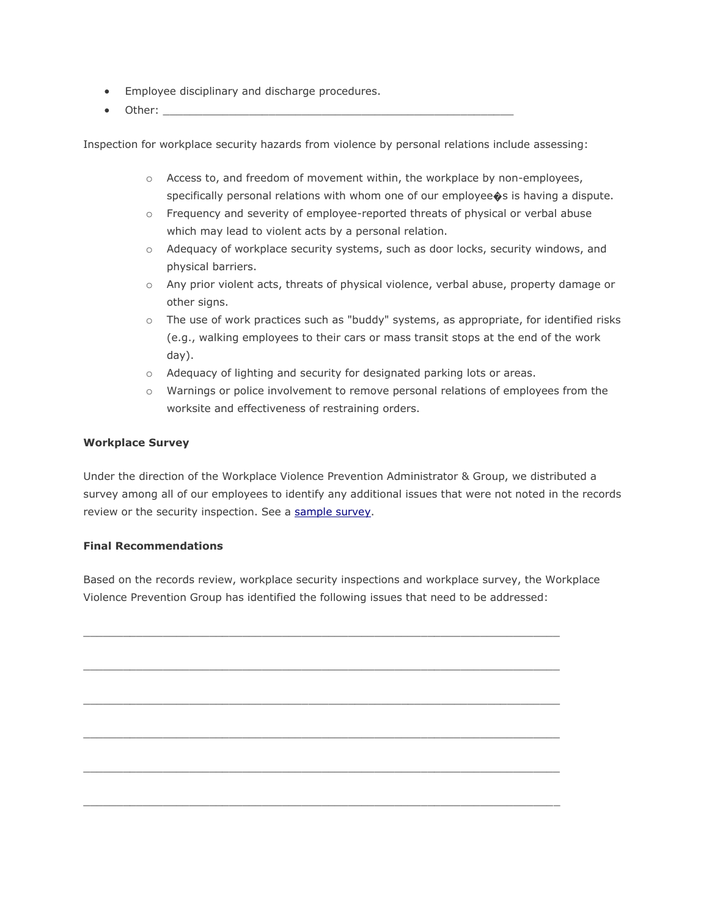- **Employee disciplinary and discharge procedures.**
- $\bullet$  Other:

Inspection for workplace security hazards from violence by personal relations include assessing:

- $\circ$  Access to, and freedom of movement within, the workplace by non-employees, specifically personal relations with whom one of our employee  $\bullet$ s is having a dispute.
- o Frequency and severity of employee-reported threats of physical or verbal abuse which may lead to violent acts by a personal relation.
- o Adequacy of workplace security systems, such as door locks, security windows, and physical barriers.
- o Any prior violent acts, threats of physical violence, verbal abuse, property damage or other signs.
- $\circ$  The use of work practices such as "buddy" systems, as appropriate, for identified risks (e.g., walking employees to their cars or mass transit stops at the end of the work day).
- o Adequacy of lighting and security for designated parking lots or areas.
- o Warnings or police involvement to remove personal relations of employees from the worksite and effectiveness of restraining orders.

### **Workplace Survey**

Under the direction of the Workplace Violence Prevention Administrator & Group, we distributed a survey among all of our employees to identify any additional issues that were not noted in the records review or the security inspection. See a [sample survey.](http://www.oshatrain.org/courses/pages/120esha.html)

#### **Final Recommendations**

Based on the records review, workplace security inspections and workplace survey, the Workplace Violence Prevention Group has identified the following issues that need to be addressed:

 $\_$  ,  $\_$  ,  $\_$  ,  $\_$  ,  $\_$  ,  $\_$  ,  $\_$  ,  $\_$  ,  $\_$  ,  $\_$  ,  $\_$  ,  $\_$  ,  $\_$  ,  $\_$  ,  $\_$  ,  $\_$  ,  $\_$  ,  $\_$  ,  $\_$  ,  $\_$  ,  $\_$  ,  $\_$  ,  $\_$  ,  $\_$  ,  $\_$  ,  $\_$  ,  $\_$  ,  $\_$  ,  $\_$  ,  $\_$  ,  $\_$  ,  $\_$  ,  $\_$  ,  $\_$  ,  $\_$  ,  $\_$  ,  $\_$  ,

 $\_$  ,  $\_$  ,  $\_$  ,  $\_$  ,  $\_$  ,  $\_$  ,  $\_$  ,  $\_$  ,  $\_$  ,  $\_$  ,  $\_$  ,  $\_$  ,  $\_$  ,  $\_$  ,  $\_$  ,  $\_$  ,  $\_$  ,  $\_$  ,  $\_$  ,  $\_$  ,  $\_$  ,  $\_$  ,  $\_$  ,  $\_$  ,  $\_$  ,  $\_$  ,  $\_$  ,  $\_$  ,  $\_$  ,  $\_$  ,  $\_$  ,  $\_$  ,  $\_$  ,  $\_$  ,  $\_$  ,  $\_$  ,  $\_$  ,

 $\mathcal{L}_\text{max} = \mathcal{L}_\text{max} = \mathcal{L}_\text{max} = \mathcal{L}_\text{max} = \mathcal{L}_\text{max} = \mathcal{L}_\text{max} = \mathcal{L}_\text{max} = \mathcal{L}_\text{max} = \mathcal{L}_\text{max} = \mathcal{L}_\text{max} = \mathcal{L}_\text{max} = \mathcal{L}_\text{max} = \mathcal{L}_\text{max} = \mathcal{L}_\text{max} = \mathcal{L}_\text{max} = \mathcal{L}_\text{max} = \mathcal{L}_\text{max} = \mathcal{L}_\text{max} = \mathcal{$ 

 $\mathcal{L}_\mathcal{L}$  , and the set of the set of the set of the set of the set of the set of the set of the set of the set of the set of the set of the set of the set of the set of the set of the set of the set of the set of th

 $\_$  ,  $\_$  ,  $\_$  ,  $\_$  ,  $\_$  ,  $\_$  ,  $\_$  ,  $\_$  ,  $\_$  ,  $\_$  ,  $\_$  ,  $\_$  ,  $\_$  ,  $\_$  ,  $\_$  ,  $\_$  ,  $\_$  ,  $\_$  ,  $\_$  ,  $\_$  ,  $\_$  ,  $\_$  ,  $\_$  ,  $\_$  ,  $\_$  ,  $\_$  ,  $\_$  ,  $\_$  ,  $\_$  ,  $\_$  ,  $\_$  ,  $\_$  ,  $\_$  ,  $\_$  ,  $\_$  ,  $\_$  ,  $\_$  ,

 $\_$  ,  $\_$  ,  $\_$  ,  $\_$  ,  $\_$  ,  $\_$  ,  $\_$  ,  $\_$  ,  $\_$  ,  $\_$  ,  $\_$  ,  $\_$  ,  $\_$  ,  $\_$  ,  $\_$  ,  $\_$  ,  $\_$  ,  $\_$  ,  $\_$  ,  $\_$  ,  $\_$  ,  $\_$  ,  $\_$  ,  $\_$  ,  $\_$  ,  $\_$  ,  $\_$  ,  $\_$  ,  $\_$  ,  $\_$  ,  $\_$  ,  $\_$  ,  $\_$  ,  $\_$  ,  $\_$  ,  $\_$  ,  $\_$  ,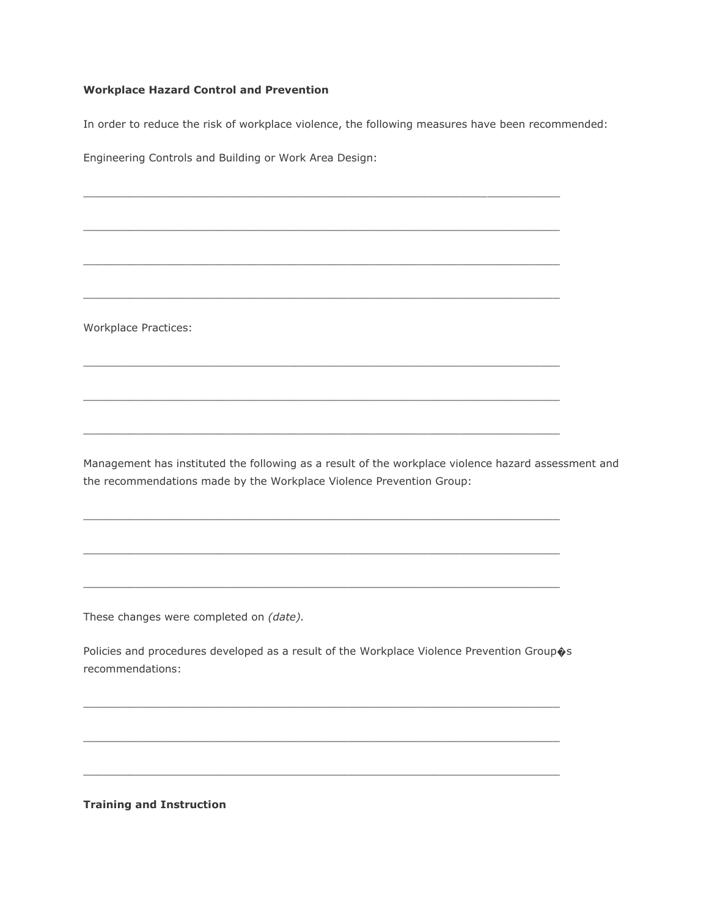# **Workplace Hazard Control and Prevention**

In order to reduce the risk of workplace violence, the following measures have been recommended:

 $\_$  ,  $\_$  ,  $\_$  ,  $\_$  ,  $\_$  ,  $\_$  ,  $\_$  ,  $\_$  ,  $\_$  ,  $\_$  ,  $\_$  ,  $\_$  ,  $\_$  ,  $\_$  ,  $\_$  ,  $\_$  ,  $\_$  ,  $\_$  ,  $\_$  ,  $\_$  ,  $\_$  ,  $\_$  ,  $\_$  ,  $\_$  ,  $\_$  ,  $\_$  ,  $\_$  ,  $\_$  ,  $\_$  ,  $\_$  ,  $\_$  ,  $\_$  ,  $\_$  ,  $\_$  ,  $\_$  ,  $\_$  ,  $\_$  ,

 $\_$  ,  $\_$  ,  $\_$  ,  $\_$  ,  $\_$  ,  $\_$  ,  $\_$  ,  $\_$  ,  $\_$  ,  $\_$  ,  $\_$  ,  $\_$  ,  $\_$  ,  $\_$  ,  $\_$  ,  $\_$  ,  $\_$  ,  $\_$  ,  $\_$  ,  $\_$  ,  $\_$  ,  $\_$  ,  $\_$  ,  $\_$  ,  $\_$  ,  $\_$  ,  $\_$  ,  $\_$  ,  $\_$  ,  $\_$  ,  $\_$  ,  $\_$  ,  $\_$  ,  $\_$  ,  $\_$  ,  $\_$  ,  $\_$  ,

 $\_$  ,  $\_$  ,  $\_$  ,  $\_$  ,  $\_$  ,  $\_$  ,  $\_$  ,  $\_$  ,  $\_$  ,  $\_$  ,  $\_$  ,  $\_$  ,  $\_$  ,  $\_$  ,  $\_$  ,  $\_$  ,  $\_$  ,  $\_$  ,  $\_$  ,  $\_$  ,  $\_$  ,  $\_$  ,  $\_$  ,  $\_$  ,  $\_$  ,  $\_$  ,  $\_$  ,  $\_$  ,  $\_$  ,  $\_$  ,  $\_$  ,  $\_$  ,  $\_$  ,  $\_$  ,  $\_$  ,  $\_$  ,  $\_$  ,

 $\_$  ,  $\_$  ,  $\_$  ,  $\_$  ,  $\_$  ,  $\_$  ,  $\_$  ,  $\_$  ,  $\_$  ,  $\_$  ,  $\_$  ,  $\_$  ,  $\_$  ,  $\_$  ,  $\_$  ,  $\_$  ,  $\_$  ,  $\_$  ,  $\_$  ,  $\_$  ,  $\_$  ,  $\_$  ,  $\_$  ,  $\_$  ,  $\_$  ,  $\_$  ,  $\_$  ,  $\_$  ,  $\_$  ,  $\_$  ,  $\_$  ,  $\_$  ,  $\_$  ,  $\_$  ,  $\_$  ,  $\_$  ,  $\_$  ,

 $\mathcal{L}_\mathcal{L}$  , and the contribution of the contribution of the contribution of the contribution of the contribution of the contribution of the contribution of the contribution of the contribution of the contribution of

 $\mathcal{L}_\mathcal{L}$  , and the set of the set of the set of the set of the set of the set of the set of the set of the set of the set of the set of the set of the set of the set of the set of the set of the set of the set of th

 $\_$  ,  $\_$  ,  $\_$  ,  $\_$  ,  $\_$  ,  $\_$  ,  $\_$  ,  $\_$  ,  $\_$  ,  $\_$  ,  $\_$  ,  $\_$  ,  $\_$  ,  $\_$  ,  $\_$  ,  $\_$  ,  $\_$  ,  $\_$  ,  $\_$  ,  $\_$  ,  $\_$  ,  $\_$  ,  $\_$  ,  $\_$  ,  $\_$  ,  $\_$  ,  $\_$  ,  $\_$  ,  $\_$  ,  $\_$  ,  $\_$  ,  $\_$  ,  $\_$  ,  $\_$  ,  $\_$  ,  $\_$  ,  $\_$  ,

 $\_$  ,  $\_$  ,  $\_$  ,  $\_$  ,  $\_$  ,  $\_$  ,  $\_$  ,  $\_$  ,  $\_$  ,  $\_$  ,  $\_$  ,  $\_$  ,  $\_$  ,  $\_$  ,  $\_$  ,  $\_$  ,  $\_$  ,  $\_$  ,  $\_$  ,  $\_$  ,  $\_$  ,  $\_$  ,  $\_$  ,  $\_$  ,  $\_$  ,  $\_$  ,  $\_$  ,  $\_$  ,  $\_$  ,  $\_$  ,  $\_$  ,  $\_$  ,  $\_$  ,  $\_$  ,  $\_$  ,  $\_$  ,  $\_$  ,

 $\_$  ,  $\_$  ,  $\_$  ,  $\_$  ,  $\_$  ,  $\_$  ,  $\_$  ,  $\_$  ,  $\_$  ,  $\_$  ,  $\_$  ,  $\_$  ,  $\_$  ,  $\_$  ,  $\_$  ,  $\_$  ,  $\_$  ,  $\_$  ,  $\_$  ,  $\_$  ,  $\_$  ,  $\_$  ,  $\_$  ,  $\_$  ,  $\_$  ,  $\_$  ,  $\_$  ,  $\_$  ,  $\_$  ,  $\_$  ,  $\_$  ,  $\_$  ,  $\_$  ,  $\_$  ,  $\_$  ,  $\_$  ,  $\_$  ,

 $\mathcal{L}_\mathcal{L}$  , and the set of the set of the set of the set of the set of the set of the set of the set of the set of the set of the set of the set of the set of the set of the set of the set of the set of the set of th

Engineering Controls and Building or Work Area Design:

Workplace Practices:

Management has instituted the following as a result of the workplace violence hazard assessment and the recommendations made by the Workplace Violence Prevention Group:

These changes were completed on *(date).*

Policies and procedures developed as a result of the Workplace Violence Prevention Group $\hat{\phi}$ s recommendations:

 $\_$  ,  $\_$  ,  $\_$  ,  $\_$  ,  $\_$  ,  $\_$  ,  $\_$  ,  $\_$  ,  $\_$  ,  $\_$  ,  $\_$  ,  $\_$  ,  $\_$  ,  $\_$  ,  $\_$  ,  $\_$  ,  $\_$  ,  $\_$  ,  $\_$  ,  $\_$  ,  $\_$  ,  $\_$  ,  $\_$  ,  $\_$  ,  $\_$  ,  $\_$  ,  $\_$  ,  $\_$  ,  $\_$  ,  $\_$  ,  $\_$  ,  $\_$  ,  $\_$  ,  $\_$  ,  $\_$  ,  $\_$  ,  $\_$  ,

 $\_$  ,  $\_$  ,  $\_$  ,  $\_$  ,  $\_$  ,  $\_$  ,  $\_$  ,  $\_$  ,  $\_$  ,  $\_$  ,  $\_$  ,  $\_$  ,  $\_$  ,  $\_$  ,  $\_$  ,  $\_$  ,  $\_$  ,  $\_$  ,  $\_$  ,  $\_$  ,  $\_$  ,  $\_$  ,  $\_$  ,  $\_$  ,  $\_$  ,  $\_$  ,  $\_$  ,  $\_$  ,  $\_$  ,  $\_$  ,  $\_$  ,  $\_$  ,  $\_$  ,  $\_$  ,  $\_$  ,  $\_$  ,  $\_$  ,

 $\_$  ,  $\_$  ,  $\_$  ,  $\_$  ,  $\_$  ,  $\_$  ,  $\_$  ,  $\_$  ,  $\_$  ,  $\_$  ,  $\_$  ,  $\_$  ,  $\_$  ,  $\_$  ,  $\_$  ,  $\_$  ,  $\_$  ,  $\_$  ,  $\_$  ,  $\_$  ,  $\_$  ,  $\_$  ,  $\_$  ,  $\_$  ,  $\_$  ,  $\_$  ,  $\_$  ,  $\_$  ,  $\_$  ,  $\_$  ,  $\_$  ,  $\_$  ,  $\_$  ,  $\_$  ,  $\_$  ,  $\_$  ,  $\_$  ,

**Training and Instruction**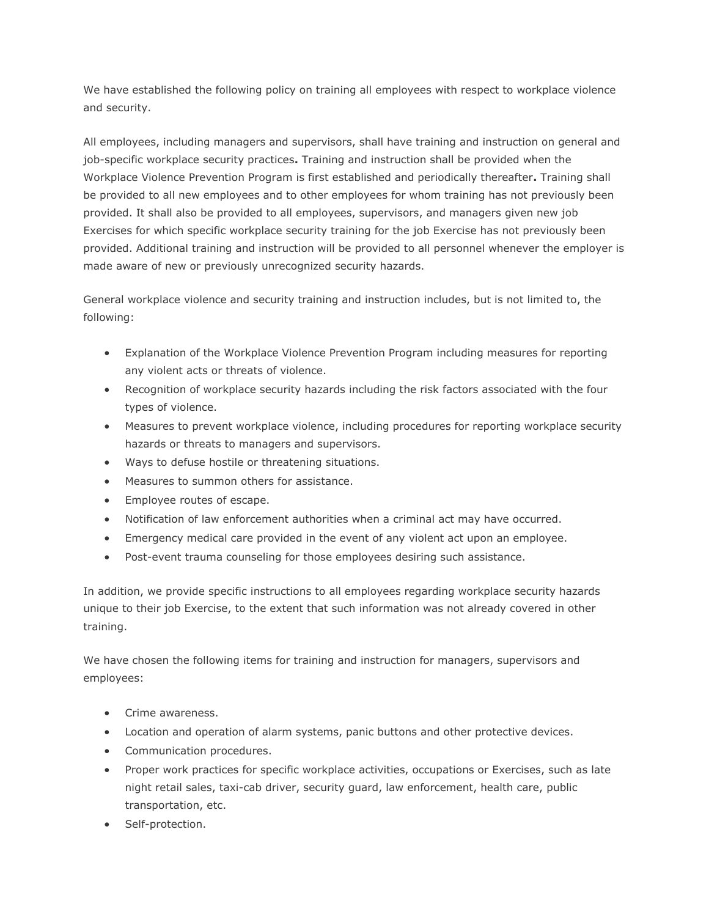We have established the following policy on training all employees with respect to workplace violence and security.

All employees, including managers and supervisors, shall have training and instruction on general and job-specific workplace security practices**.** Training and instruction shall be provided when the Workplace Violence Prevention Program is first established and periodically thereafter**.** Training shall be provided to all new employees and to other employees for whom training has not previously been provided. It shall also be provided to all employees, supervisors, and managers given new job Exercises for which specific workplace security training for the job Exercise has not previously been provided. Additional training and instruction will be provided to all personnel whenever the employer is made aware of new or previously unrecognized security hazards.

General workplace violence and security training and instruction includes, but is not limited to, the following:

- Explanation of the Workplace Violence Prevention Program including measures for reporting any violent acts or threats of violence.
- Recognition of workplace security hazards including the risk factors associated with the four types of violence.
- Measures to prevent workplace violence, including procedures for reporting workplace security hazards or threats to managers and supervisors.
- Ways to defuse hostile or threatening situations.
- Measures to summon others for assistance.
- **Employee routes of escape.**
- Notification of law enforcement authorities when a criminal act may have occurred.
- Emergency medical care provided in the event of any violent act upon an employee.
- Post-event trauma counseling for those employees desiring such assistance.

In addition, we provide specific instructions to all employees regarding workplace security hazards unique to their job Exercise, to the extent that such information was not already covered in other training.

We have chosen the following items for training and instruction for managers, supervisors and employees:

- Crime awareness.
- Location and operation of alarm systems, panic buttons and other protective devices.
- Communication procedures.
- Proper work practices for specific workplace activities, occupations or Exercises, such as late night retail sales, taxi-cab driver, security guard, law enforcement, health care, public transportation, etc.
- Self-protection.